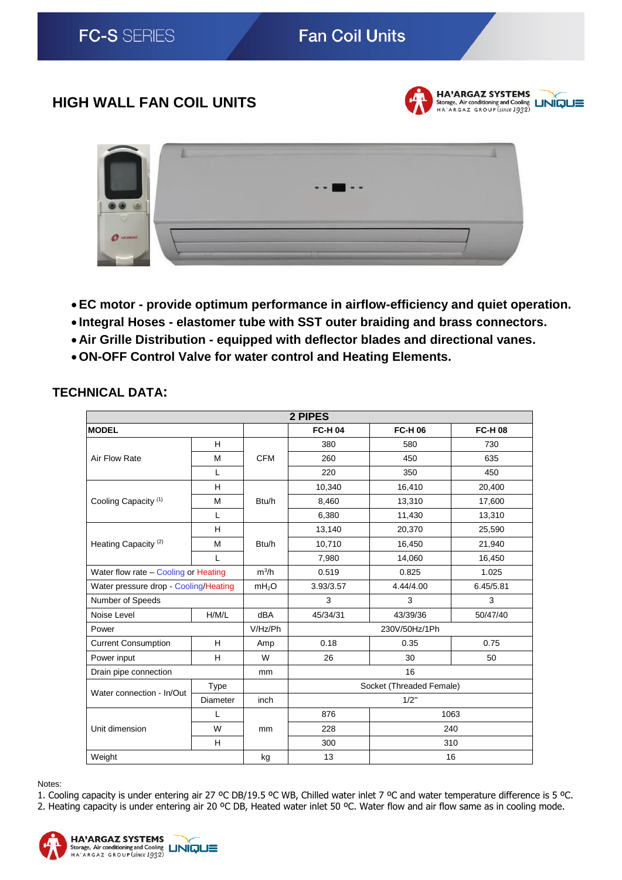# **Fan Coil Units**

## **HIGH WALL FAN COIL UNITS**



**HA'ARGAZ SYSTEMS** Storage, Air conditioning and Cooling<br>HA'ARGAZ GROUP (since 1932)



- **EC motor - provide optimum performance in airflow-efficiency and quiet operation.**
- **Integral Hoses - elastomer tube with SST outer braiding and brass connectors.**
- **Air Grille Distribution - equipped with deflector blades and directional vanes.**
- **ON-OFF Control Valve for water control and Heating Elements.**

| 2 PIPES                               |             |                   |                          |                |                |  |  |
|---------------------------------------|-------------|-------------------|--------------------------|----------------|----------------|--|--|
| <b>MODEL</b>                          |             |                   | <b>FC-H 04</b>           | <b>FC-H 06</b> | <b>FC-H 08</b> |  |  |
| Air Flow Rate                         | H           | <b>CFM</b>        | 380                      | 580            | 730            |  |  |
|                                       | M           |                   | 260                      | 450            | 635            |  |  |
|                                       | L           |                   | 220                      | 350            | 450            |  |  |
| Cooling Capacity <sup>(1)</sup>       | H           | Btu/h             | 10,340                   | 16,410         | 20,400         |  |  |
|                                       | M           |                   | 8,460                    | 13,310         | 17,600         |  |  |
|                                       | L           |                   | 6,380                    | 11,430         | 13,310         |  |  |
| Heating Capacity <sup>(2)</sup>       | H           | Btu/h             | 13,140                   | 20,370         | 25,590         |  |  |
|                                       | M           |                   | 10,710                   | 16,450         | 21,940         |  |  |
|                                       | L           |                   | 7,980                    | 14,060         | 16,450         |  |  |
| Water flow rate - Cooling or Heating  |             | $m^3/h$           | 0.519                    | 0.825          | 1.025          |  |  |
| Water pressure drop - Cooling/Heating |             | mH <sub>2</sub> O | 3.93/3.57                | 4.44/4.00      | 6.45/5.81      |  |  |
| Number of Speeds                      |             |                   | 3                        | 3              | 3              |  |  |
| Noise Level                           | H/M/L       | dBA               | 45/34/31                 | 43/39/36       | 50/47/40       |  |  |
| Power                                 |             | V/Hz/Ph           | 230V/50Hz/1Ph            |                |                |  |  |
| <b>Current Consumption</b>            | H           | Amp               | 0.18                     | 0.35           | 0.75           |  |  |
| Power input                           | H           | W                 | 26                       | 30             | 50             |  |  |
| Drain pipe connection                 |             | mm                | 16                       |                |                |  |  |
| Water connection - In/Out             | <b>Type</b> |                   | Socket (Threaded Female) |                |                |  |  |
|                                       | Diameter    | inch              | 1/2"                     |                |                |  |  |
| Unit dimension                        | L           | mm                | 876                      | 1063           |                |  |  |
|                                       | W           |                   | 228                      | 240            |                |  |  |
|                                       | H           |                   | 300                      | 310            |                |  |  |
| Weight                                |             | kg                | 13                       | 16             |                |  |  |

## **TECHNICAL DATA:**

Notes:

1. Cooling capacity is under entering air 27 ºC DB/19.5 ºC WB, Chilled water inlet 7 ºC and water temperature difference is 5 ºC. 2. Heating capacity is under entering air 20 °C DB, Heated water inlet 50 °C. Water flow and air flow same as in cooling mode.